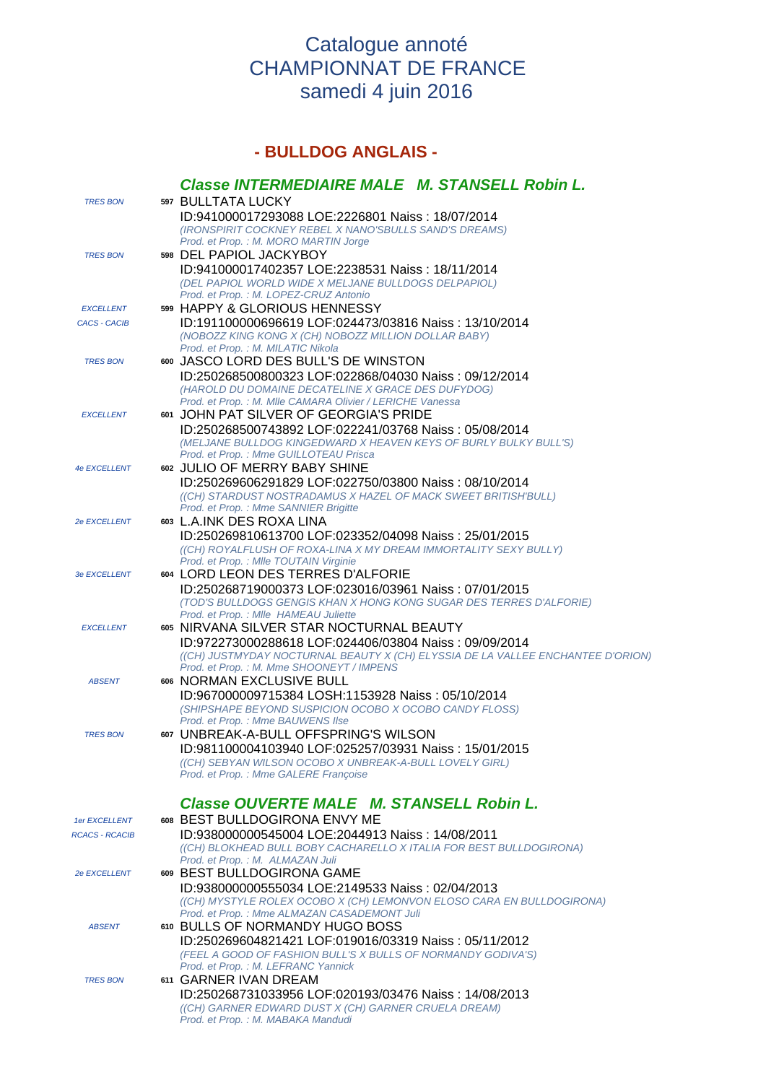## Catalogue annoté CHAMPIONNAT DE FRANCE samedi 4 juin 2016

## **- BULLDOG ANGLAIS -**

|                       | Classe INTERMEDIAIRE MALE M. STANSELL Robin L.                                                                                                                           |
|-----------------------|--------------------------------------------------------------------------------------------------------------------------------------------------------------------------|
| <b>TRES BON</b>       | 597 BULLTATA LUCKY<br>ID:941000017293088 LOE:2226801 Naiss: 18/07/2014                                                                                                   |
|                       | (IRONSPIRIT COCKNEY REBEL X NANO'SBULLS SAND'S DREAMS)<br>Prod. et Prop. : M. MORO MARTIN Jorge                                                                          |
| <b>TRES BON</b>       | 598 DEL PAPIOL JACKYBOY                                                                                                                                                  |
|                       | ID:941000017402357 LOE:2238531 Naiss: 18/11/2014                                                                                                                         |
|                       | (DEL PAPIOL WORLD WIDE X MELJANE BULLDOGS DELPAPIOL)<br>Prod. et Prop. : M. LOPEZ-CRUZ Antonio                                                                           |
| <b>EXCELLENT</b>      | 599 HAPPY & GLORIOUS HENNESSY                                                                                                                                            |
| <b>CACS - CACIB</b>   | ID:191100000696619 LOF:024473/03816 Naiss: 13/10/2014<br>(NOBOZZ KING KONG X (CH) NOBOZZ MILLION DOLLAR BABY)<br>Prod. et Prop.: M. MILATIC Nikola                       |
| <b>TRES BON</b>       | 600 JASCO LORD DES BULL'S DE WINSTON                                                                                                                                     |
|                       | ID:250268500800323 LOF:022868/04030 Naiss: 09/12/2014<br>(HAROLD DU DOMAINE DECATELINE X GRACE DES DUFYDOG)<br>Prod. et Prop. : M. Mlle CAMARA Olivier / LERICHE Vanessa |
| <b>EXCELLENT</b>      | 601 JOHN PAT SILVER OF GEORGIA'S PRIDE                                                                                                                                   |
|                       | ID:250268500743892 LOF:022241/03768 Naiss: 05/08/2014<br>(MELJANE BULLDOG KINGEDWARD X HEAVEN KEYS OF BURLY BULKY BULL'S)                                                |
|                       | Prod. et Prop.: Mme GUILLOTEAU Prisca                                                                                                                                    |
| <b>4e EXCELLENT</b>   | 602 JULIO OF MERRY BABY SHINE                                                                                                                                            |
|                       | ID:250269606291829 LOF:022750/03800 Naiss: 08/10/2014<br>((CH) STARDUST NOSTRADAMUS X HAZEL OF MACK SWEET BRITISH'BULL)                                                  |
|                       | Prod. et Prop.: Mme SANNIER Brigitte                                                                                                                                     |
| 2e EXCELLENT          | 603 L.A.INK DES ROXA LINA<br>ID:250269810613700 LOF:023352/04098 Naiss: 25/01/2015                                                                                       |
|                       | ((CH) ROYALFLUSH OF ROXA-LINA X MY DREAM IMMORTALITY SEXY BULLY)                                                                                                         |
| <b>3e EXCELLENT</b>   | Prod. et Prop. : MIIe TOUTAIN Virginie<br>604 LORD LEON DES TERRES D'ALFORIE                                                                                             |
|                       | ID:250268719000373 LOF:023016/03961 Naiss: 07/01/2015                                                                                                                    |
|                       | (TOD'S BULLDOGS GENGIS KHAN X HONG KONG SUGAR DES TERRES D'ALFORIE)                                                                                                      |
| <b>EXCELLENT</b>      | Prod. et Prop. : MIIe HAMEAU Juliette<br>605 NIRVANA SILVER STAR NOCTURNAL BEAUTY                                                                                        |
|                       | ID:972273000288618 LOF:024406/03804 Naiss: 09/09/2014                                                                                                                    |
|                       | ((CH) JUSTMYDAY NOCTURNAL BEAUTY X (CH) ELYSSIA DE LA VALLEE ENCHANTEE D'ORION)<br>Prod. et Prop.: M. Mme SHOONEYT / IMPENS                                              |
| <b>ABSENT</b>         | 606 NORMAN EXCLUSIVE BULL                                                                                                                                                |
|                       | ID:967000009715384 LOSH:1153928 Naiss: 05/10/2014                                                                                                                        |
|                       | (SHIPSHAPE BEYOND SUSPICION OCOBO X OCOBO CANDY FLOSS)<br>Prod. et Prop. : Mme BAUWENS Ilse                                                                              |
| <b>TRES BON</b>       | 607 UNBREAK-A-BULL OFFSPRING'S WILSON                                                                                                                                    |
|                       | ID:981100004103940 LOF:025257/03931 Naiss: 15/01/2015<br>((CH) SEBYAN WILSON OCOBO X UNBREAK-A-BULL LOVELY GIRL)                                                         |
|                       | Prod. et Prop.: Mme GALERE Françoise                                                                                                                                     |
|                       | Classe OUVERTE MALE M. STANSELL Robin L.                                                                                                                                 |
| 1er EXCELLENT         | 608 BEST BULLDOGIRONA ENVY ME                                                                                                                                            |
| <b>RCACS - RCACIB</b> | ID:938000000545004 LOE:2044913 Naiss: 14/08/2011<br>((CH) BLOKHEAD BULL BOBY CACHARELLO X ITALIA FOR BEST BULLDOGIRONA)                                                  |
|                       | Prod. et Prop.: M. ALMAZAN Juli                                                                                                                                          |
| 2e EXCELLENT          | 609 BEST BULLDOGIRONA GAME<br>ID:938000000555034 LOE:2149533 Naiss: 02/04/2013                                                                                           |
|                       | ((CH) MYSTYLE ROLEX OCOBO X (CH) LEMONVON ELOSO CARA EN BULLDOGIRONA)                                                                                                    |
|                       | Prod. et Prop. : Mme ALMAZAN CASADEMONT Juli<br>610 BULLS OF NORMANDY HUGO BOSS                                                                                          |
| <b>ABSENT</b>         | ID:250269604821421 LOF:019016/03319 Naiss: 05/11/2012                                                                                                                    |
|                       | (FEEL A GOOD OF FASHION BULL'S X BULLS OF NORMANDY GODIVA'S)                                                                                                             |
| <b>TRES BON</b>       | Prod. et Prop.: M. LEFRANC Yannick<br>611 GARNER IVAN DREAM                                                                                                              |
|                       | ID:250268731033956 LOF:020193/03476 Naiss: 14/08/2013                                                                                                                    |
|                       | ((CH) GARNER EDWARD DUST X (CH) GARNER CRUELA DREAM)                                                                                                                     |
|                       | Prod. et Prop.: M. MABAKA Mandudi                                                                                                                                        |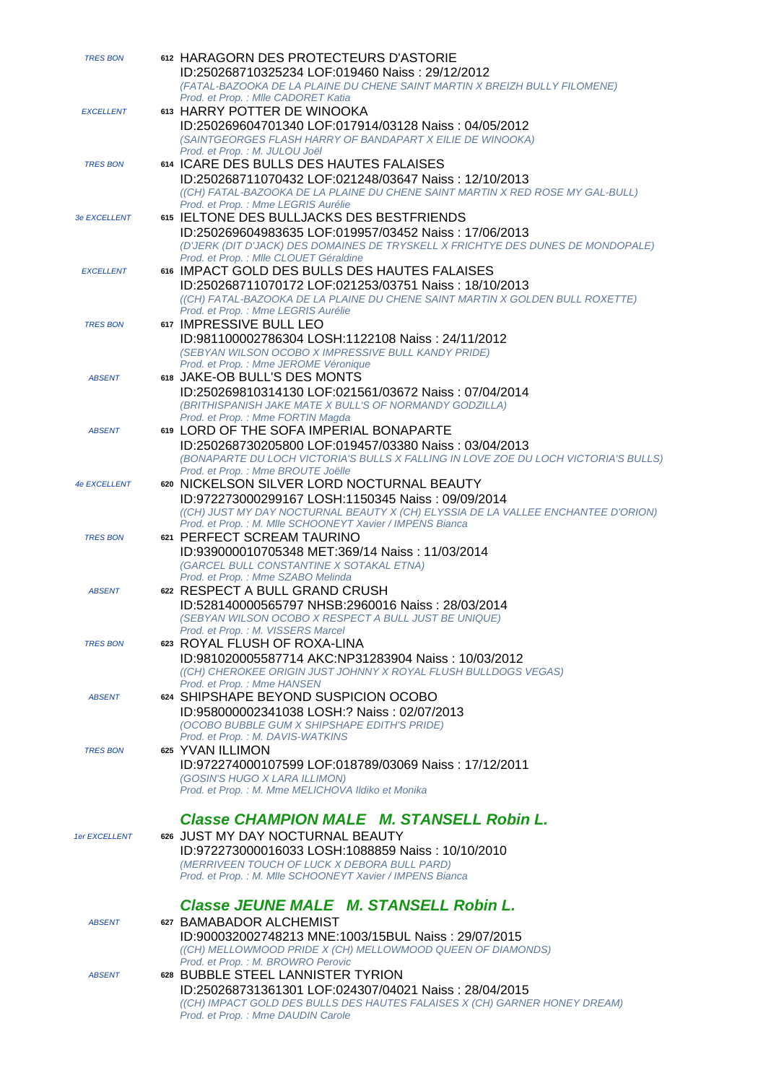| <b>TRES BON</b>     | 612 HARAGORN DES PROTECTEURS D'ASTORIE                                                                                                    |
|---------------------|-------------------------------------------------------------------------------------------------------------------------------------------|
|                     | ID:250268710325234 LOF:019460 Naiss: 29/12/2012<br>(FATAL-BAZOOKA DE LA PLAINE DU CHENE SAINT MARTIN X BREIZH BULLY FILOMENE)             |
|                     | Prod. et Prop. : Mlle CADORET Katia                                                                                                       |
| <b>EXCELLENT</b>    | 613 HARRY POTTER DE WINOOKA                                                                                                               |
|                     | ID:250269604701340 LOF:017914/03128 Naiss: 04/05/2012                                                                                     |
|                     | (SAINTGEORGES FLASH HARRY OF BANDAPART X EILIE DE WINOOKA)<br>Prod. et Prop. : M. JULOU Joël                                              |
| <b>TRES BON</b>     | 614 ICARE DES BULLS DES HAUTES FALAISES                                                                                                   |
|                     | ID:250268711070432 LOF:021248/03647 Naiss: 12/10/2013                                                                                     |
|                     | ((CH) FATAL-BAZOOKA DE LA PLAINE DU CHENE SAINT MARTIN X RED ROSE MY GAL-BULL)                                                            |
|                     | Prod. et Prop. : Mme LEGRIS Aurélie                                                                                                       |
| <b>3e EXCELLENT</b> | 615 IELTONE DES BULLJACKS DES BESTFRIENDS                                                                                                 |
|                     | ID:250269604983635 LOF:019957/03452 Naiss: 17/06/2013<br>(D'JERK (DIT D'JACK) DES DOMAINES DE TRYSKELL X FRICHTYE DES DUNES DE MONDOPALE) |
|                     | Prod. et Prop. : MIle CLOUET Géraldine                                                                                                    |
| <b>EXCELLENT</b>    | 616 IMPACT GOLD DES BULLS DES HAUTES FALAISES                                                                                             |
|                     | ID:250268711070172 LOF:021253/03751 Naiss: 18/10/2013                                                                                     |
|                     | ((CH) FATAL-BAZOOKA DE LA PLAINE DU CHENE SAINT MARTIN X GOLDEN BULL ROXETTE)                                                             |
| <b>TRES BON</b>     | Prod. et Prop. : Mme LEGRIS Aurélie<br>617 IMPRESSIVE BULL LEO                                                                            |
|                     | ID:981100002786304 LOSH:1122108 Naiss: 24/11/2012                                                                                         |
|                     | (SEBYAN WILSON OCOBO X IMPRESSIVE BULL KANDY PRIDE)                                                                                       |
|                     | Prod. et Prop. : Mme JEROME Véronique                                                                                                     |
| <b>ABSENT</b>       | 618 JAKE-OB BULL'S DES MONTS                                                                                                              |
|                     | ID:250269810314130 LOF:021561/03672 Naiss: 07/04/2014                                                                                     |
|                     | (BRITHISPANISH JAKE MATE X BULL'S OF NORMANDY GODZILLA)<br>Prod. et Prop.: Mme FORTIN Magda                                               |
| <b>ABSENT</b>       | 619 LORD OF THE SOFA IMPERIAL BONAPARTE                                                                                                   |
|                     | ID:250268730205800 LOF:019457/03380 Naiss: 03/04/2013                                                                                     |
|                     | (BONAPARTE DU LOCH VICTORIA'S BULLS X FALLING IN LOVE ZOE DU LOCH VICTORIA'S BULLS)                                                       |
|                     | Prod. et Prop. : Mme BROUTE Joëlle                                                                                                        |
| <b>4e EXCELLENT</b> | 620 NICKELSON SILVER LORD NOCTURNAL BEAUTY                                                                                                |
|                     | ID:972273000299167 LOSH:1150345 Naiss: 09/09/2014<br>((CH) JUST MY DAY NOCTURNAL BEAUTY X (CH) ELYSSIA DE LA VALLEE ENCHANTEE D'ORION)    |
|                     | Prod. et Prop.: M. Mlle SCHOONEYT Xavier / IMPENS Bianca                                                                                  |
| <b>TRES BON</b>     | 621 PERFECT SCREAM TAURINO                                                                                                                |
|                     | ID:939000010705348 MET:369/14 Naiss: 11/03/2014                                                                                           |
|                     | (GARCEL BULL CONSTANTINE X SOTAKAL ETNA)<br>Prod. et Prop. : Mme SZABO Melinda                                                            |
| <b>ABSENT</b>       | 622 RESPECT A BULL GRAND CRUSH                                                                                                            |
|                     | ID:528140000565797 NHSB:2960016 Naiss: 28/03/2014                                                                                         |
|                     | (SEBYAN WILSON OCOBO X RESPECT A BULL JUST BE UNIQUE)                                                                                     |
|                     | Prod. et Prop.: M. VISSERS Marcel                                                                                                         |
| <b>TRES BON</b>     | 623 ROYAL FLUSH OF ROXA-LINA<br>ID:981020005587714 AKC:NP31283904 Naiss: 10/03/2012                                                       |
|                     | ((CH) CHEROKEE ORIGIN JUST JOHNNY X ROYAL FLUSH BULLDOGS VEGAS)                                                                           |
|                     | Prod. et Prop.: Mme HANSEN                                                                                                                |
| <b>ABSENT</b>       | 624 SHIPSHAPE BEYOND SUSPICION OCOBO                                                                                                      |
|                     | ID:958000002341038 LOSH:? Naiss: 02/07/2013                                                                                               |
|                     | (OCOBO BUBBLE GUM X SHIPSHAPE EDITH'S PRIDE)<br>Prod. et Prop.: M. DAVIS-WATKINS                                                          |
| <b>TRES BON</b>     | 625 YVAN ILLIMON                                                                                                                          |
|                     | ID:972274000107599 LOF:018789/03069 Naiss: 17/12/2011                                                                                     |
|                     | (GOSIN'S HUGO X LARA ILLIMON)                                                                                                             |
|                     | Prod. et Prop.: M. Mme MELICHOVA Ildiko et Monika                                                                                         |
|                     |                                                                                                                                           |
|                     | Classe CHAMPION MALE M. STANSELL Robin L.<br>626 JUST MY DAY NOCTURNAL BEAUTY                                                             |
| 1er EXCELLENT       | ID:972273000016033 LOSH:1088859 Naiss: 10/10/2010                                                                                         |
|                     | (MERRIVEEN TOUCH OF LUCK X DEBORA BULL PARD)                                                                                              |
|                     | Prod. et Prop.: M. Mlle SCHOONEYT Xavier / IMPENS Bianca                                                                                  |
|                     |                                                                                                                                           |
|                     | Classe JEUNE MALE M. STANSELL Robin L.                                                                                                    |
| <b>ABSENT</b>       | 627 BAMABADOR ALCHEMIST                                                                                                                   |
|                     | ID:900032002748213 MNE:1003/15BUL Naiss: 29/07/2015                                                                                       |
|                     | ((CH) MELLOWMOOD PRIDE X (CH) MELLOWMOOD QUEEN OF DIAMONDS)<br>Prod. et Prop.: M. BROWRO Perovic                                          |
| <b>ABSENT</b>       | 628 BUBBLE STEEL LANNISTER TYRION                                                                                                         |
|                     | ID:250268731361301 LOF:024307/04021 Naiss: 28/04/2015                                                                                     |
|                     | ((CH) IMPACT GOLD DES BULLS DES HAUTES FALAISES X (CH) GARNER HONEY DREAM)                                                                |
|                     | Prod. et Prop. : Mme DAUDIN Carole                                                                                                        |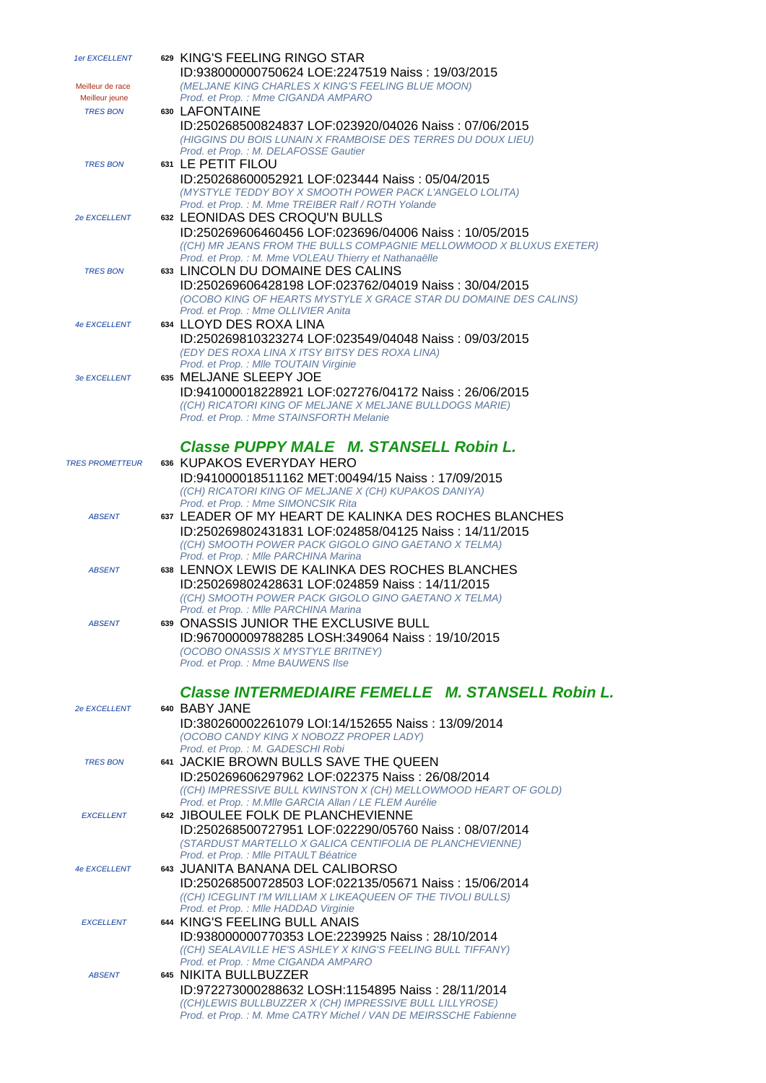| 1er EXCELLENT          | 629 KING'S FEELING RINGO STAR                                                                                                |
|------------------------|------------------------------------------------------------------------------------------------------------------------------|
|                        | ID:938000000750624 LOE:2247519 Naiss: 19/03/2015                                                                             |
| Meilleur de race       | (MELJANE KING CHARLES X KING'S FEELING BLUE MOON)                                                                            |
| Meilleur jeune         | Prod. et Prop. : Mme CIGANDA AMPARO<br>630 LAFONTAINE                                                                        |
| <b>TRES BON</b>        | ID:250268500824837 LOF:023920/04026 Naiss: 07/06/2015                                                                        |
|                        | (HIGGINS DU BOIS LUNAIN X FRAMBOISE DES TERRES DU DOUX LIEU)                                                                 |
|                        | Prod. et Prop.: M. DELAFOSSE Gautier                                                                                         |
| <b>TRES BON</b>        | 631 LE PETIT FILOU                                                                                                           |
|                        | ID:250268600052921 LOF:023444 Naiss: 05/04/2015                                                                              |
|                        | (MYSTYLE TEDDY BOY X SMOOTH POWER PACK L'ANGELO LOLITA)                                                                      |
|                        | Prod. et Prop.: M. Mme TREIBER Ralf / ROTH Yolande                                                                           |
| <b>2e EXCELLENT</b>    | 632 LEONIDAS DES CROQU'N BULLS                                                                                               |
|                        | ID:250269606460456 LOF:023696/04006 Naiss: 10/05/2015                                                                        |
|                        | ((CH) MR JEANS FROM THE BULLS COMPAGNIE MELLOWMOOD X BLUXUS EXETER)<br>Prod. et Prop. : M. Mme VOLEAU Thierry et Nathanaëlle |
| <b>TRES BON</b>        | 633 LINCOLN DU DOMAINE DES CALINS                                                                                            |
|                        | ID:250269606428198 LOF:023762/04019 Naiss: 30/04/2015                                                                        |
|                        | (OCOBO KING OF HEARTS MYSTYLE X GRACE STAR DU DOMAINE DES CALINS)                                                            |
|                        | Prod. et Prop. : Mme OLLIVIER Anita                                                                                          |
| <b>4e EXCELLENT</b>    | 634 LLOYD DES ROXA LINA                                                                                                      |
|                        | ID:250269810323274 LOF:023549/04048 Naiss: 09/03/2015                                                                        |
|                        | (EDY DES ROXA LINA X ITSY BITSY DES ROXA LINA)                                                                               |
|                        | Prod. et Prop. : MIIe TOUTAIN Virginie                                                                                       |
| 3e EXCELLENT           | 635 MELJANE SLEEPY JOE                                                                                                       |
|                        | ID:941000018228921 LOF:027276/04172 Naiss: 26/06/2015<br>((CH) RICATORI KING OF MELJANE X MELJANE BULLDOGS MARIE)            |
|                        | Prod. et Prop.: Mme STAINSFORTH Melanie                                                                                      |
|                        |                                                                                                                              |
|                        | Classe PUPPY MALE M. STANSELL Robin L.                                                                                       |
| <b>TRES PROMETTEUR</b> | 636 KUPAKOS EVERYDAY HERO                                                                                                    |
|                        | ID:941000018511162 MET:00494/15 Naiss: 17/09/2015                                                                            |
|                        | ((CH) RICATORI KING OF MELJANE X (CH) KUPAKOS DANIYA)                                                                        |
|                        | Prod. et Prop. : Mme SIMONCSIK Rita                                                                                          |
| <b>ABSENT</b>          | 637 LEADER OF MY HEART DE KALINKA DES ROCHES BLANCHES                                                                        |
|                        | ID:250269802431831 LOF:024858/04125 Naiss: 14/11/2015                                                                        |
|                        | ((CH) SMOOTH POWER PACK GIGOLO GINO GAETANO X TELMA)                                                                         |
| <b>ABSENT</b>          | Prod. et Prop. : MIIe PARCHINA Marina<br>638 LENNOX LEWIS DE KALINKA DES ROCHES BLANCHES                                     |
|                        | ID:250269802428631 LOF:024859 Naiss: 14/11/2015                                                                              |
|                        | ((CH) SMOOTH POWER PACK GIGOLO GINO GAETANO X TELMA)                                                                         |
|                        | Prod. et Prop. : MIIe PARCHINA Marina                                                                                        |
| <b>ABSENT</b>          | 639 ONASSIS JUNIOR THE EXCLUSIVE BULL                                                                                        |
|                        | ID:967000009788285 LOSH:349064 Naiss: 19/10/2015                                                                             |
|                        | (OCOBO ONASSIS X MYSTYLE BRITNEY)                                                                                            |
|                        | Prod. et Prop. : Mme BAUWENS Ilse                                                                                            |
|                        | Classe INTERMEDIAIRE FEMELLE M. STANSELL Robin L.                                                                            |
|                        |                                                                                                                              |
| 2e EXCELLENT           | 640 BABY JANE                                                                                                                |
|                        | ID:380260002261079 LOI:14/152655 Naiss: 13/09/2014<br>(OCOBO CANDY KING X NOBOZZ PROPER LADY)                                |
|                        | Prod. et Prop. : M. GADESCHI Robi                                                                                            |
| <b>TRES BON</b>        | 641 JACKIE BROWN BULLS SAVE THE QUEEN                                                                                        |
|                        | ID:250269606297962 LOF:022375 Naiss: 26/08/2014                                                                              |
|                        | ((CH) IMPRESSIVE BULL KWINSTON X (CH) MELLOWMOOD HEART OF GOLD)                                                              |
|                        | Prod. et Prop. : M.Mlle GARCIA Allan / LE FLEM Aurélie                                                                       |
| <b>EXCELLENT</b>       | 642 JIBOULEE FOLK DE PLANCHEVIENNE                                                                                           |
|                        | ID:250268500727951 LOF:022290/05760 Naiss: 08/07/2014                                                                        |
|                        | (STARDUST MARTELLO X GALICA CENTIFOLIA DE PLANCHEVIENNE)<br>Prod. et Prop. : MIIe PITAULT Béatrice                           |
| <b>4e EXCELLENT</b>    | 643 JUANITA BANANA DEL CALIBORSO                                                                                             |
|                        | ID:250268500728503 LOF:022135/05671 Naiss: 15/06/2014                                                                        |
|                        | ((CH) ICEGLINT I'M WILLIAM X LIKEAQUEEN OF THE TIVOLI BULLS)                                                                 |
|                        | Prod. et Prop. : MIIe HADDAD Virginie                                                                                        |
| <b>EXCELLENT</b>       | 644 KING'S FEELING BULL ANAIS                                                                                                |
|                        | ID:938000000770353 LOE:2239925 Naiss: 28/10/2014                                                                             |
|                        | ((CH) SEALAVILLE HE'S ASHLEY X KING'S FEELING BULL TIFFANY)<br>Prod. et Prop. : Mme CIGANDA AMPARO                           |
| <b>ABSENT</b>          | 645 NIKITA BULLBUZZER                                                                                                        |
|                        | ID:972273000288632 LOSH:1154895 Naiss: 28/11/2014                                                                            |
|                        | ((CH)LEWIS BULLBUZZER X (CH) IMPRESSIVE BULL LILLYROSE)                                                                      |
|                        | Prod. et Prop.: M. Mme CATRY Michel / VAN DE MEIRSSCHE Fabienne                                                              |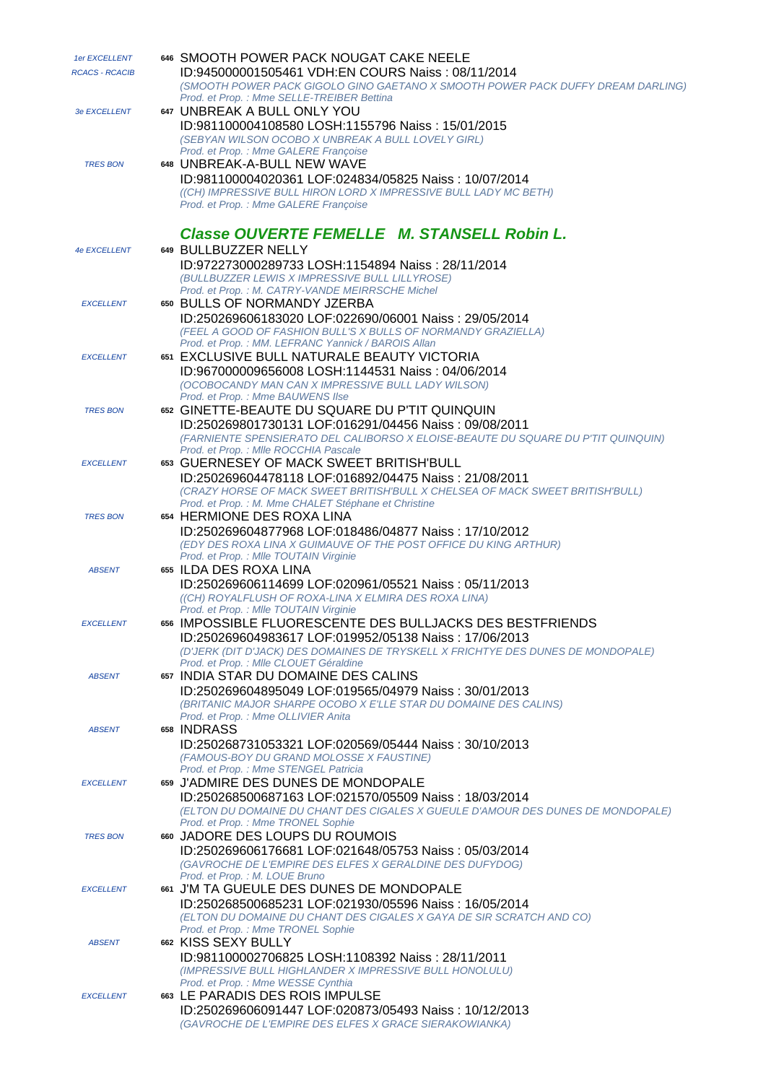| 1er EXCELLENT         | 646 SMOOTH POWER PACK NOUGAT CAKE NEELE                                                                                                                                           |
|-----------------------|-----------------------------------------------------------------------------------------------------------------------------------------------------------------------------------|
| <b>RCACS - RCACIB</b> | ID:945000001505461 VDH:EN COURS Naiss: 08/11/2014<br>(SMOOTH POWER PACK GIGOLO GINO GAETANO X SMOOTH POWER PACK DUFFY DREAM DARLING)<br>Prod. et Prop.: Mme SELLE-TREIBER Bettina |
| <b>3e EXCELLENT</b>   | 647 UNBREAK A BULL ONLY YOU                                                                                                                                                       |
|                       | ID:981100004108580 LOSH:1155796 Naiss: 15/01/2015<br>(SEBYAN WILSON OCOBO X UNBREAK A BULL LOVELY GIRL)                                                                           |
| <b>TRES BON</b>       | Prod. et Prop.: Mme GALERE Françoise<br>648 UNBREAK-A-BULL NEW WAVE                                                                                                               |
|                       | ID:981100004020361 LOF:024834/05825 Naiss: 10/07/2014                                                                                                                             |
|                       | ((CH) IMPRESSIVE BULL HIRON LORD X IMPRESSIVE BULL LADY MC BETH)<br>Prod. et Prop.: Mme GALERE Francoise                                                                          |
|                       | Classe OUVERTE FEMELLE M. STANSELL Robin L.                                                                                                                                       |
| 4e EXCELLENT          | 649 BULLBUZZER NELLY<br>ID:972273000289733 LOSH:1154894 Naiss: 28/11/2014                                                                                                         |
|                       | (BULLBUZZER LEWIS X IMPRESSIVE BULL LILLYROSE)                                                                                                                                    |
| <b>EXCELLENT</b>      | Prod. et Prop.: M. CATRY-VANDE MEIRRSCHE Michel<br>650 BULLS OF NORMANDY JZERBA                                                                                                   |
|                       | ID:250269606183020 LOF:022690/06001 Naiss: 29/05/2014                                                                                                                             |
|                       | (FEEL A GOOD OF FASHION BULL'S X BULLS OF NORMANDY GRAZIELLA)                                                                                                                     |
|                       | Prod. et Prop.: MM. LEFRANC Yannick / BAROIS Allan                                                                                                                                |
| <b>EXCELLENT</b>      | 651 EXCLUSIVE BULL NATURALE BEAUTY VICTORIA<br>ID:967000009656008 LOSH:1144531 Naiss: 04/06/2014                                                                                  |
|                       | (OCOBOCANDY MAN CAN X IMPRESSIVE BULL LADY WILSON)                                                                                                                                |
|                       | Prod. et Prop. : Mme BAUWENS Ilse                                                                                                                                                 |
| <b>TRES BON</b>       | 652 GINETTE-BEAUTE DU SQUARE DU P'TIT QUINQUIN<br>ID:250269801730131 LOF:016291/04456 Naiss: 09/08/2011                                                                           |
|                       | (FARNIENTE SPENSIERATO DEL CALIBORSO X ELOISE-BEAUTE DU SQUARE DU P'TIT QUINQUIN)                                                                                                 |
|                       | Prod. et Prop. : MIIe ROCCHIA Pascale                                                                                                                                             |
| <b>EXCELLENT</b>      | 653 GUERNESEY OF MACK SWEET BRITISH'BULL                                                                                                                                          |
|                       | ID:250269604478118 LOF:016892/04475 Naiss: 21/08/2011<br>(CRAZY HORSE OF MACK SWEET BRITISH'BULL X CHELSEA OF MACK SWEET BRITISH'BULL)                                            |
|                       | Prod. et Prop. : M. Mme CHALET Stéphane et Christine                                                                                                                              |
| <b>TRES BON</b>       | 654 HERMIONE DES ROXA LINA                                                                                                                                                        |
|                       | ID:250269604877968 LOF:018486/04877 Naiss: 17/10/2012<br>(EDY DES ROXA LINA X GUIMAUVE OF THE POST OFFICE DU KING ARTHUR)                                                         |
|                       | Prod. et Prop. : MIIe TOUTAIN Virginie                                                                                                                                            |
| <b>ABSENT</b>         | 655 ILDA DES ROXA LINA                                                                                                                                                            |
|                       | ID:250269606114699 LOF:020961/05521 Naiss: 05/11/2013<br>((CH) ROYALFLUSH OF ROXA-LINA X ELMIRA DES ROXA LINA)                                                                    |
|                       | Prod. et Prop. : MIIe TOUTAIN Virginie                                                                                                                                            |
| <b>EXCELLENT</b>      | 656 IMPOSSIBLE FLUORESCENTE DES BULLJACKS DES BESTFRIENDS                                                                                                                         |
|                       | ID:250269604983617 LOF:019952/05138 Naiss: 17/06/2013                                                                                                                             |
|                       | (D'JERK (DIT D'JACK) DES DOMAINES DE TRYSKELL X FRICHTYE DES DUNES DE MONDOPALE)<br>Prod. et Prop. : MIIe CLOUET Géraldine                                                        |
| <b>ABSENT</b>         | 657 INDIA STAR DU DOMAINE DES CALINS                                                                                                                                              |
|                       | ID:250269604895049 LOF:019565/04979 Naiss: 30/01/2013                                                                                                                             |
|                       | (BRITANIC MAJOR SHARPE OCOBO X E'LLE STAR DU DOMAINE DES CALINS)<br>Prod. et Prop. : Mme OLLIVIER Anita                                                                           |
| <b>ABSENT</b>         | 658 INDRASS                                                                                                                                                                       |
|                       | ID:250268731053321 LOF:020569/05444 Naiss: 30/10/2013                                                                                                                             |
|                       | (FAMOUS-BOY DU GRAND MOLOSSE X FAUSTINE)<br>Prod. et Prop. : Mme STENGEL Patricia                                                                                                 |
| <b>EXCELLENT</b>      | 659 J'ADMIRE DES DUNES DE MONDOPALE                                                                                                                                               |
|                       | ID:250268500687163 LOF:021570/05509 Naiss: 18/03/2014                                                                                                                             |
|                       | (ELTON DU DOMAINE DU CHANT DES CIGALES X GUEULE D'AMOUR DES DUNES DE MONDOPALE)<br>Prod. et Prop. : Mme TRONEL Sophie                                                             |
| <b>TRES BON</b>       | 660 JADORE DES LOUPS DU ROUMOIS                                                                                                                                                   |
|                       | ID:250269606176681 LOF:021648/05753 Naiss: 05/03/2014                                                                                                                             |
|                       | (GAVROCHE DE L'EMPIRE DES ELFES X GERALDINE DES DUFYDOG)<br>Prod. et Prop. : M. LOUE Bruno                                                                                        |
| <b>EXCELLENT</b>      | 661 J'M TA GUEULE DES DUNES DE MONDOPALE                                                                                                                                          |
|                       | ID:250268500685231 LOF:021930/05596 Naiss: 16/05/2014                                                                                                                             |
|                       | (ELTON DU DOMAINE DU CHANT DES CIGALES X GAYA DE SIR SCRATCH AND CO)                                                                                                              |
| <b>ABSENT</b>         | Prod. et Prop.: Mme TRONEL Sophie<br>662 KISS SEXY BULLY                                                                                                                          |
|                       | ID:981100002706825 LOSH:1108392 Naiss: 28/11/2011                                                                                                                                 |
|                       | (IMPRESSIVE BULL HIGHLANDER X IMPRESSIVE BULL HONOLULU)                                                                                                                           |
| <b>EXCELLENT</b>      | Prod. et Prop.: Mme WESSE Cynthia<br>663 LE PARADIS DES ROIS IMPULSE                                                                                                              |
|                       | ID:250269606091447 LOF:020873/05493 Naiss: 10/12/2013                                                                                                                             |
|                       | (GAVROCHE DE L'EMPIRE DES ELFES X GRACE SIERAKOWIANKA)                                                                                                                            |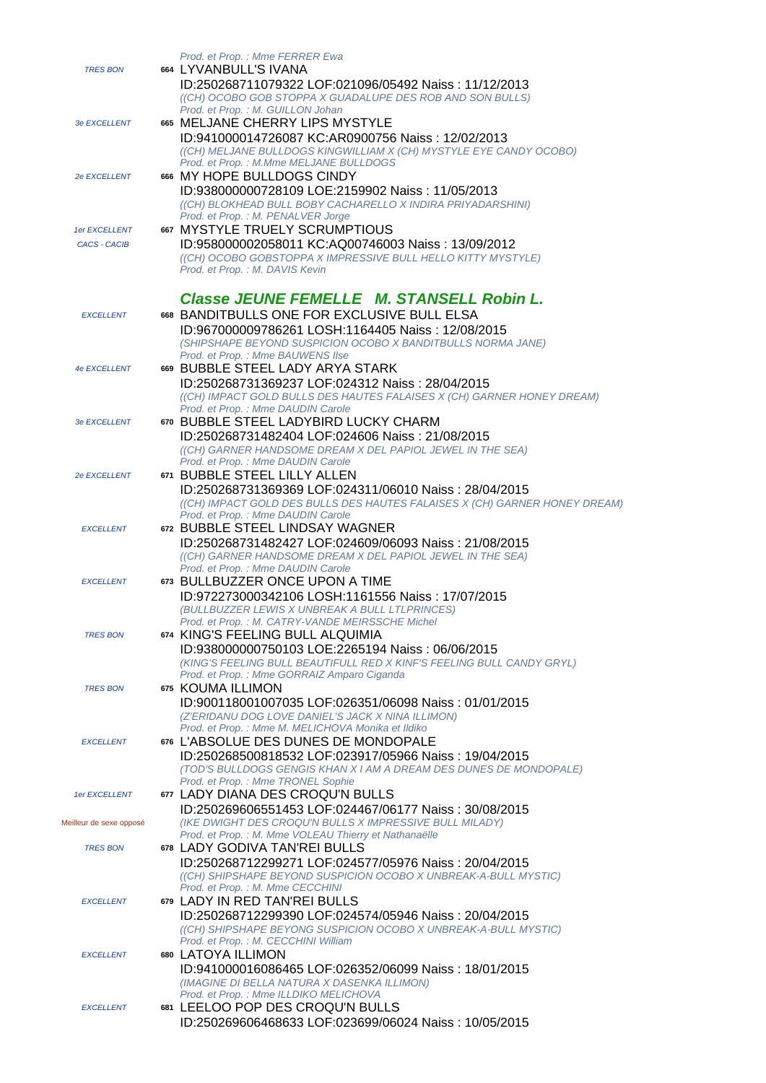| <b>TRES BON</b>         | Prod. et Prop. : Mme FERRER Ewa<br>664 LYVANBULL'S IVANA<br>ID:250268711079322 LOF:021096/05492 Naiss: 11/12/2013<br>((CH) OCOBO GOB STOPPA X GUADALUPE DES ROB AND SON BULLS)                                                                    |
|-------------------------|---------------------------------------------------------------------------------------------------------------------------------------------------------------------------------------------------------------------------------------------------|
| <b>3e EXCELLENT</b>     | Prod. et Prop.: M. GUILLON Johan<br>665 MELJANE CHERRY LIPS MYSTYLE<br>ID:941000014726087 KC:AR0900756 Naiss: 12/02/2013<br>((CH) MELJANE BULLDOGS KINGWILLIAM X (CH) MYSTYLE EYE CANDY OCOBO)                                                    |
| 2e EXCELLENT            | Prod. et Prop.: M.Mme MELJANE BULLDOGS<br>666 MY HOPE BULLDOGS CINDY<br>ID:938000000728109 LOE:2159902 Naiss: 11/05/2013<br>((CH) BLOKHEAD BULL BOBY CACHARELLO X INDIRA PRIYADARSHINI)                                                           |
| 1er EXCELLENT           | Prod. et Prop. : M. PENALVER Jorge<br>667 MYSTYLE TRUELY SCRUMPTIOUS                                                                                                                                                                              |
| <b>CACS - CACIB</b>     | ID:958000002058011 KC:AQ00746003 Naiss: 13/09/2012<br>((CH) OCOBO GOBSTOPPA X IMPRESSIVE BULL HELLO KITTY MYSTYLE)<br>Prod. et Prop.: M. DAVIS Kevin                                                                                              |
| <b>EXCELLENT</b>        | Classe JEUNE FEMELLE M. STANSELL Robin L.<br>668 BANDITBULLS ONE FOR EXCLUSIVE BULL ELSA<br>ID:967000009786261 LOSH:1164405 Naiss: 12/08/2015<br>(SHIPSHAPE BEYOND SUSPICION OCOBO X BANDITBULLS NORMA JANE)<br>Prod. et Prop. : Mme BAUWENS Ilse |
| <b>4e EXCELLENT</b>     | 669 BUBBLE STEEL LADY ARYA STARK<br>ID:250268731369237 LOF:024312 Naiss: 28/04/2015<br>((CH) IMPACT GOLD BULLS DES HAUTES FALAISES X (CH) GARNER HONEY DREAM)<br>Prod. et Prop. : Mme DAUDIN Carole                                               |
| 3e EXCELLENT            | 670 BUBBLE STEEL LADYBIRD LUCKY CHARM<br>ID:250268731482404 LOF:024606 Naiss: 21/08/2015<br>((CH) GARNER HANDSOME DREAM X DEL PAPIOL JEWEL IN THE SEA)<br>Prod. et Prop. : Mme DAUDIN Carole                                                      |
| <b>2e EXCELLENT</b>     | 671 BUBBLE STEEL LILLY ALLEN<br>ID:250268731369369 LOF:024311/06010 Naiss: 28/04/2015<br>((CH) IMPACT GOLD DES BULLS DES HAUTES FALAISES X (CH) GARNER HONEY DREAM)<br>Prod. et Prop. : Mme DAUDIN Carole                                         |
| <b>EXCELLENT</b>        | 672 BUBBLE STEEL LINDSAY WAGNER<br>ID:250268731482427 LOF:024609/06093 Naiss: 21/08/2015<br>((CH) GARNER HANDSOME DREAM X DEL PAPIOL JEWEL IN THE SEA)<br>Prod. et Prop. : Mme DAUDIN Carole                                                      |
| <b>EXCELLENT</b>        | 673 BULLBUZZER ONCE UPON A TIME<br>ID:972273000342106 LOSH:1161556 Naiss: 17/07/2015<br>(BULLBUZZER LEWIS X UNBREAK A BULL LTLPRINCES)<br>Prod. et Prop.: M. CATRY-VANDE MEIRSSCHE Michel                                                         |
| <b>TRES BON</b>         | 674 KING'S FEELING BULL ALQUIMIA<br>ID:938000000750103 LOE:2265194 Naiss: 06/06/2015<br>(KING'S FEELING BULL BEAUTIFULL RED X KINF'S FEELING BULL CANDY GRYL)<br>Prod. et Prop.: Mme GORRAIZ Amparo Ciganda                                       |
| <b>TRES BON</b>         | 675 KOUMA ILLIMON<br>ID:900118001007035 LOF:026351/06098 Naiss: 01/01/2015<br>(Z'ERIDANU DOG LOVE DANIEL'S JACK X NINA ILLIMON)<br>Prod. et Prop. : Mme M. MELICHOVA Monika et Ildiko                                                             |
| <b>EXCELLENT</b>        | 676 L'ABSOLUE DES DUNES DE MONDOPALE<br>ID:250268500818532 LOF:023917/05966 Naiss: 19/04/2015<br>(TOD'S BULLDOGS GENGIS KHAN X I AM A DREAM DES DUNES DE MONDOPALE)<br>Prod. et Prop.: Mme TRONEL Sophie                                          |
| 1er EXCELLENT           | 677 LADY DIANA DES CROQU'N BULLS<br>ID:250269606551453 LOF:024467/06177 Naiss: 30/08/2015                                                                                                                                                         |
| Meilleur de sexe opposé | (IKE DWIGHT DES CROQU'N BULLS X IMPRESSIVE BULL MILADY)<br>Prod. et Prop.: M. Mme VOLEAU Thierry et Nathanaëlle                                                                                                                                   |
| <b>TRES BON</b>         | 678 LADY GODIVA TAN'REI BULLS<br>ID:250268712299271 LOF:024577/05976 Naiss: 20/04/2015<br>((CH) SHIPSHAPE BEYOND SUSPICION OCOBO X UNBREAK-A-BULL MYSTIC)                                                                                         |
| <b>EXCELLENT</b>        | Prod. et Prop. : M. Mme CECCHINI<br>679 LADY IN RED TAN'REI BULLS<br>ID:250268712299390 LOF:024574/05946 Naiss: 20/04/2015<br>((CH) SHIPSHAPE BEYONG SUSPICION OCOBO X UNBREAK-A-BULL MYSTIC)<br>Prod. et Prop.: M. CECCHINI William              |
| <b>EXCELLENT</b>        | 680 LATOYA ILLIMON<br>ID:941000016086465 LOF:026352/06099 Naiss: 18/01/2015<br>(IMAGINE DI BELLA NATURA X DASENKA ILLIMON)<br>Prod. et Prop. : Mme ILLDIKO MELICHOVA                                                                              |
| <b>EXCELLENT</b>        | 681 LEELOO POP DES CROQU'N BULLS<br>ID:250269606468633 LOF:023699/06024 Naiss: 10/05/2015                                                                                                                                                         |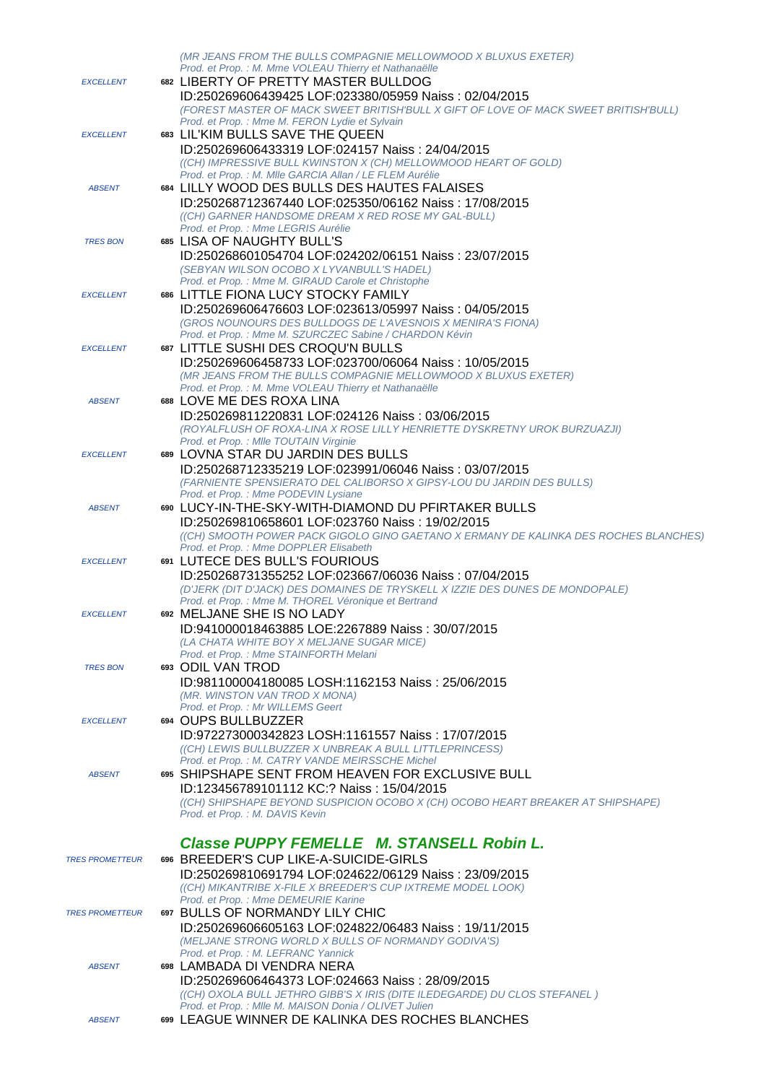|                        | (MR JEANS FROM THE BULLS COMPAGNIE MELLOWMOOD X BLUXUS EXETER)                                                                         |
|------------------------|----------------------------------------------------------------------------------------------------------------------------------------|
|                        | Prod. et Prop. : M. Mme VOLEAU Thierry et Nathanaëlle                                                                                  |
| <b>EXCELLENT</b>       | 682 LIBERTY OF PRETTY MASTER BULLDOG                                                                                                   |
|                        | ID:250269606439425 LOF:023380/05959 Naiss: 02/04/2015                                                                                  |
|                        | (FOREST MASTER OF MACK SWEET BRITISH'BULL X GIFT OF LOVE OF MACK SWEET BRITISH'BULL)<br>Prod. et Prop. : Mme M. FERON Lydie et Sylvain |
| <b>EXCELLENT</b>       | 683 LIL'KIM BULLS SAVE THE QUEEN                                                                                                       |
|                        |                                                                                                                                        |
|                        | ID:250269606433319 LOF:024157 Naiss: 24/04/2015<br>((CH) IMPRESSIVE BULL KWINSTON X (CH) MELLOWMOOD HEART OF GOLD)                     |
|                        | Prod. et Prop. : M. Mile GARCIA Allan / LE FLEM Aurélie                                                                                |
| <b>ABSENT</b>          | 684 LILLY WOOD DES BULLS DES HAUTES FALAISES                                                                                           |
|                        | ID:250268712367440 LOF:025350/06162 Naiss: 17/08/2015                                                                                  |
|                        | ((CH) GARNER HANDSOME DREAM X RED ROSE MY GAL-BULL)                                                                                    |
|                        | Prod. et Prop. : Mme LEGRIS Aurélie                                                                                                    |
| <b>TRES BON</b>        | 685 LISA OF NAUGHTY BULL'S                                                                                                             |
|                        | ID:250268601054704 LOF:024202/06151 Naiss: 23/07/2015                                                                                  |
|                        | (SEBYAN WILSON OCOBO X LYVANBULL'S HADEL)                                                                                              |
|                        | Prod. et Prop. : Mme M. GIRAUD Carole et Christophe                                                                                    |
| <b>EXCELLENT</b>       | 686 LITTLE FIONA LUCY STOCKY FAMILY                                                                                                    |
|                        | ID:250269606476603 LOF:023613/05997 Naiss: 04/05/2015                                                                                  |
|                        | (GROS NOUNOURS DES BULLDOGS DE L'AVESNOIS X MENIRA'S FIONA)                                                                            |
|                        | Prod. et Prop. : Mme M. SZURCZEC Sabine / CHARDON Kévin                                                                                |
| <b>EXCELLENT</b>       | 687 LITTLE SUSHI DES CROQU'N BULLS                                                                                                     |
|                        | ID:250269606458733 LOF:023700/06064 Naiss: 10/05/2015                                                                                  |
|                        | (MR JEANS FROM THE BULLS COMPAGNIE MELLOWMOOD X BLUXUS EXETER)<br>Prod. et Prop. : M. Mme VOLEAU Thierry et Nathanaëlle                |
| <b>ABSENT</b>          | 688 LOVE ME DES ROXA LINA                                                                                                              |
|                        | ID:250269811220831 LOF:024126 Naiss: 03/06/2015                                                                                        |
|                        | (ROYALFLUSH OF ROXA-LINA X ROSE LILLY HENRIETTE DYSKRETNY UROK BURZUAZJI)                                                              |
|                        | Prod. et Prop. : MIIe TOUTAIN Virginie                                                                                                 |
| <b>EXCELLENT</b>       | 689 LOVNA STAR DU JARDIN DES BULLS                                                                                                     |
|                        | ID:250268712335219 LOF:023991/06046 Naiss: 03/07/2015                                                                                  |
|                        | (FARNIENTE SPENSIERATO DEL CALIBORSO X GIPSY-LOU DU JARDIN DES BULLS)                                                                  |
|                        | Prod. et Prop. : Mme PODEVIN Lysiane                                                                                                   |
| <b>ABSENT</b>          | 690 LUCY-IN-THE-SKY-WITH-DIAMOND DU PFIRTAKER BULLS                                                                                    |
|                        | ID:250269810658601 LOF:023760 Naiss: 19/02/2015                                                                                        |
|                        | ((CH) SMOOTH POWER PACK GIGOLO GINO GAETANO X ERMANY DE KALINKA DES ROCHES BLANCHES)                                                   |
|                        | Prod. et Prop.: Mme DOPPLER Elisabeth                                                                                                  |
| <b>EXCELLENT</b>       | 691 LUTECE DES BULL'S FOURIOUS                                                                                                         |
|                        | ID:250268731355252 LOF:023667/06036 Naiss: 07/04/2015                                                                                  |
|                        | (D'JERK (DIT D'JACK) DES DOMAINES DE TRYSKELL X IZZIE DES DUNES DE MONDOPALE)<br>Prod. et Prop. : Mme M. THOREL Véronique et Bertrand  |
| <b>EXCELLENT</b>       | 692 MELJANE SHE IS NO LADY                                                                                                             |
|                        | ID:941000018463885 LOE:2267889 Naiss: 30/07/2015                                                                                       |
|                        | (LA CHATA WHITE BOY X MELJANE SUGAR MICE)                                                                                              |
|                        | Prod. et Prop.: Mme STAINFORTH Melani                                                                                                  |
| <b>TRES BON</b>        | 693 ODIL VAN TROD                                                                                                                      |
|                        | ID:981100004180085 LOSH:1162153 Naiss: 25/06/2015                                                                                      |
|                        | (MR. WINSTON VAN TROD X MONA)                                                                                                          |
|                        | Prod. et Prop. : Mr WILLEMS Geert                                                                                                      |
| <b>EXCELLENT</b>       | 694 OUPS BULLBUZZER                                                                                                                    |
|                        | ID:972273000342823 LOSH:1161557 Naiss: 17/07/2015                                                                                      |
|                        | ((CH) LEWIS BULLBUZZER X UNBREAK A BULL LITTLEPRINCESS)                                                                                |
|                        | Prod. et Prop.: M. CATRY VANDE MEIRSSCHE Michel                                                                                        |
| <b>ABSENT</b>          | 695 SHIPSHAPE SENT FROM HEAVEN FOR EXCLUSIVE BULL                                                                                      |
|                        | ID:123456789101112 KC:? Naiss: 15/04/2015                                                                                              |
|                        | ((CH) SHIPSHAPE BEYOND SUSPICION OCOBO X (CH) OCOBO HEART BREAKER AT SHIPSHAPE)<br>Prod. et Prop.: M. DAVIS Kevin                      |
|                        |                                                                                                                                        |
|                        | Classe PUPPY FEMELLE M. STANSELL Robin L.                                                                                              |
| <b>TRES PROMETTEUR</b> | 696 BREEDER'S CUP LIKE-A-SUICIDE-GIRLS                                                                                                 |
|                        | ID:250269810691794 LOF:024622/06129 Naiss: 23/09/2015                                                                                  |
|                        | ((CH) MIKANTRIBE X-FILE X BREEDER'S CUP IXTREME MODEL LOOK)                                                                            |
|                        | Prod. et Prop. : Mme DEMEURIE Karine                                                                                                   |
| <b>TRES PROMETTEUR</b> | 697 BULLS OF NORMANDY LILY CHIC                                                                                                        |
|                        | ID:250269606605163 LOF:024822/06483 Naiss: 19/11/2015                                                                                  |
|                        | (MELJANE STRONG WORLD X BULLS OF NORMANDY GODIVA'S)                                                                                    |
|                        | Prod. et Prop.: M. LEFRANC Yannick                                                                                                     |
| <b>ABSENT</b>          | 698 LAMBADA DI VENDRA NERA                                                                                                             |
|                        | ID:250269606464373 LOF:024663 Naiss: 28/09/2015                                                                                        |
|                        | ((CH) OXOLA BULL JETHRO GIBB'S X IRIS (DITE ILEDEGARDE) DU CLOS STEFANEL)                                                              |
|                        | Prod. et Prop. : Mlle M. MAISON Donia / OLIVET Julien                                                                                  |
| <b>ABSENT</b>          | 699 LEAGUE WINNER DE KALINKA DES ROCHES BLANCHES                                                                                       |